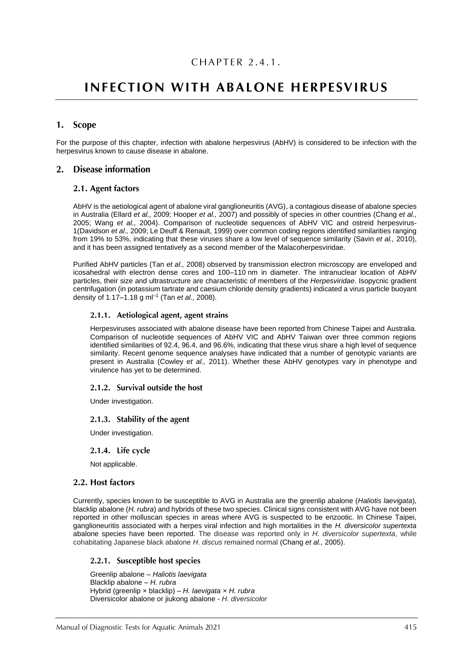# **INFECTION WITH ABALONE HERPESVIRUS**

# 1. Scope

For the purpose of this chapter, infection with abalone herpesvirus (AbHV) is considered to be infection with the herpesvirus known to cause disease in abalone.

# 2. Disease information

### 2.1. Agent factors

AbHV is the aetiological agent of abalone viral ganglioneuritis (AVG), a contagious disease of abalone species in Australia (Ellard *et al.,* 2009; Hooper *et al.,* 2007) and possibly of species in other countries (Chang *et al.,* 2005; Wang *et al.,* 2004). Comparison of nucleotide sequences of AbHV VIC and ostreid herpesvirus-1(Davidson *et al.,* 2009; Le Deuff & Renault, 1999) over common coding regions identified similarities ranging from 19% to 53%, indicating that these viruses share a low level of sequence similarity (Savin *et al.,* 2010), and it has been assigned tentatively as a second member of the Malacoherpesviridae.

Purified AbHV particles (Tan *et al.,* 2008) observed by transmission electron microscopy are enveloped and icosahedral with electron dense cores and 100–110 nm in diameter. The intranuclear location of AbHV particles, their size and ultrastructure are characteristic of members of the *Herpesviridae*. Isopycnic gradient centrifugation (in potassium tartrate and caesium chloride density gradients) indicated a virus particle buoyant density of 1.17–1.18 g ml–1 (Tan *et al.,* 2008).

#### 2.1.1. Aetiological agent, agent strains

Herpesviruses associated with abalone disease have been reported from Chinese Taipei and Australia. Comparison of nucleotide sequences of AbHV VIC and AbHV Taiwan over three common regions identified similarities of 92.4, 96.4, and 96.6%, indicating that these virus share a high level of sequence similarity. Recent genome sequence analyses have indicated that a number of genotypic variants are present in Australia (Cowley *et al.,* 2011). Whether these AbHV genotypes vary in phenotype and virulence has yet to be determined.

### 2.1.2. Survival outside the host

Under investigation.

### 2.1.3. Stability of the agent

Under investigation.

2.1.4. Life cycle

Not applicable.

# 2.2. Host factors

Currently, species known to be susceptible to AVG in Australia are the greenlip abalone (*Haliotis laevigata*), blacklip abalone (*H. rubra*) and hybrids of these two species. Clinical signs consistent with AVG have not been reported in other molluscan species in areas where AVG is suspected to be enzootic. In Chinese Taipei, ganglioneuritis associated with a herpes viral infection and high mortalities in the *H. diversicolor supertexta* abalone species have been reported. The disease was reported only in *H. diversicolor supertexta*, while cohabitating Japanese black abalone *H*. *discus* remained normal (Chang *et al.,* 2005).

# 2.2.1. Susceptible host species

Greenlip abalone – *Haliotis laevigata* Blacklip abalone – *H. rubra* Hybrid (greenlip × blacklip) – *H. laevigata × H. rubra* Diversicolor abalone or jiukong abalone - *H. diversicolor*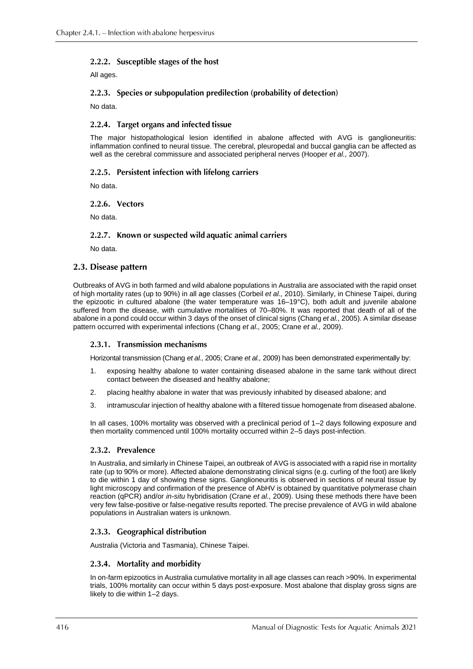# 2.2.2. Susceptible stages of the host

All ages.

# 2.2.3. Species or subpopulation predilection (probability of detection)

No data.

# 2.2.4. Target organs and infected tissue

The major histopathological lesion identified in abalone affected with AVG is ganglioneuritis: inflammation confined to neural tissue. The cerebral, pleuropedal and buccal ganglia can be affected as well as the cerebral commissure and associated peripheral nerves (Hooper *et al.,* 2007).

# 2.2.5. Persistent infection with lifelong carriers

No data.

# 2.2.6. Vectors

No data.

# 2.2.7. Known or suspected wild aquatic animal carriers

No data.

# 2.3. Disease pattern

Outbreaks of AVG in both farmed and wild abalone populations in Australia are associated with the rapid onset of high mortality rates (up to 90%) in all age classes (Corbeil *et al.,* 2010). Similarly, in Chinese Taipei, during the epizootic in cultured abalone (the water temperature was 16–19°C), both adult and juvenile abalone suffered from the disease, with cumulative mortalities of 70–80%. It was reported that death of all of the abalone in a pond could occur within 3 days of the onset of clinical signs (Chang *et al.,* 2005). A similar disease pattern occurred with experimental infections (Chang *et al.,* 2005; Crane *et al.,* 2009).

# 2.3.1. Transmission mechanisms

Horizontal transmission (Chang *et al.,* 2005; Crane *et al.,* 2009) has been demonstrated experimentally by:

- 1. exposing healthy abalone to water containing diseased abalone in the same tank without direct contact between the diseased and healthy abalone;
- 2. placing healthy abalone in water that was previously inhabited by diseased abalone; and
- 3. intramuscular injection of healthy abalone with a filtered tissue homogenate from diseased abalone.

In all cases, 100% mortality was observed with a preclinical period of 1–2 days following exposure and then mortality commenced until 100% mortality occurred within 2–5 days post-infection.

# 2.3.2. Prevalence

In Australia, and similarly in Chinese Taipei, an outbreak of AVG is associated with a rapid rise in mortality rate (up to 90% or more). Affected abalone demonstrating clinical signs (e.g. curling of the foot) are likely to die within 1 day of showing these signs. Ganglioneuritis is observed in sections of neural tissue by light microscopy and confirmation of the presence of AbHV is obtained by quantitative polymerase chain reaction (qPCR) and/or *in-situ* hybridisation (Crane *et al.,* 2009). Using these methods there have been very few false-positive or false-negative results reported. The precise prevalence of AVG in wild abalone populations in Australian waters is unknown.

# 2.3.3. Geographical distribution

Australia (Victoria and Tasmania), Chinese Taipei.

# 2.3.4. Mortality and morbidity

In on-farm epizootics in Australia cumulative mortality in all age classes can reach >90%. In experimental trials, 100% mortality can occur within 5 days post-exposure. Most abalone that display gross signs are likely to die within 1–2 days.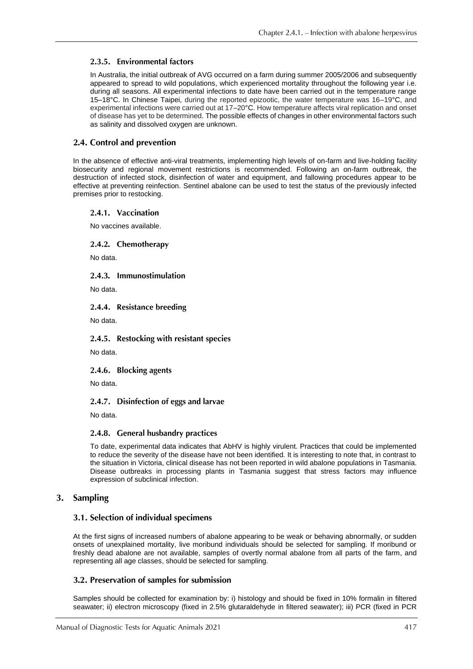# 2.3.5. Environmental factors

In Australia, the initial outbreak of AVG occurred on a farm during summer 2005/2006 and subsequently appeared to spread to wild populations, which experienced mortality throughout the following year i.e. during all seasons. All experimental infections to date have been carried out in the temperature range 15–18°C. In Chinese Taipei, during the reported epizootic, the water temperature was 16–19°C, and experimental infections were carried out at 17–20°C. How temperature affects viral replication and onset of disease has yet to be determined. The possible effects of changes in other environmental factors such as salinity and dissolved oxygen are unknown.

# 2.4. Control and prevention

In the absence of effective anti-viral treatments, implementing high levels of on-farm and live-holding facility biosecurity and regional movement restrictions is recommended. Following an on-farm outbreak, the destruction of infected stock, disinfection of water and equipment, and fallowing procedures appear to be effective at preventing reinfection. Sentinel abalone can be used to test the status of the previously infected premises prior to restocking.

#### 2.4.1. Vaccination

No vaccines available.

### 2.4.2. Chemotherapy

No data.

# 2.4.3. Immunostimulation

No data.

# 2.4.4. Resistance breeding

No data.

### 2.4.5. Restocking with resistant species

No data.

### 2.4.6. Blocking agents

No data.

### 2.4.7. Disinfection of eggs and larvae

No data.

### 2.4.8. General husbandry practices

To date, experimental data indicates that AbHV is highly virulent. Practices that could be implemented to reduce the severity of the disease have not been identified. It is interesting to note that, in contrast to the situation in Victoria, clinical disease has not been reported in wild abalone populations in Tasmania. Disease outbreaks in processing plants in Tasmania suggest that stress factors may influence expression of subclinical infection.

# 3. Sampling

# 3.1. Selection of individual specimens

At the first signs of increased numbers of abalone appearing to be weak or behaving abnormally, or sudden onsets of unexplained mortality, live moribund individuals should be selected for sampling. If moribund or freshly dead abalone are not available, samples of overtly normal abalone from all parts of the farm, and representing all age classes, should be selected for sampling.

# 3.2. Preservation of samples for submission

Samples should be collected for examination by: i) histology and should be fixed in 10% formalin in filtered seawater; ii) electron microscopy (fixed in 2.5% glutaraldehyde in filtered seawater); iii) PCR (fixed in PCR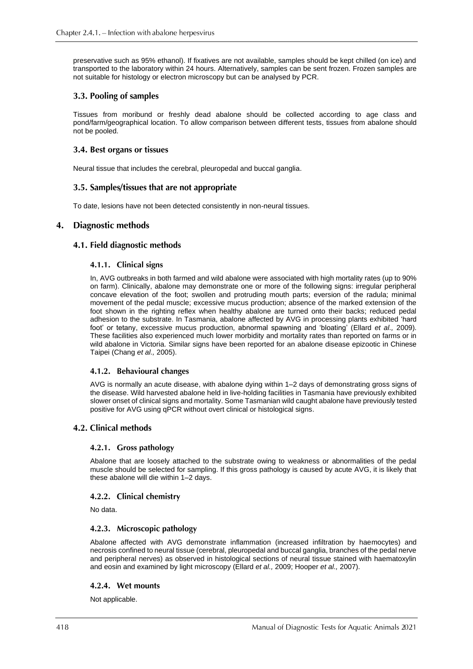preservative such as 95% ethanol). If fixatives are not available, samples should be kept chilled (on ice) and transported to the laboratory within 24 hours. Alternatively, samples can be sent frozen. Frozen samples are not suitable for histology or electron microscopy but can be analysed by PCR.

# 3.3. Pooling of samples

Tissues from moribund or freshly dead abalone should be collected according to age class and pond/farm/geographical location. To allow comparison between different tests, tissues from abalone should not be pooled.

# 3.4. Best organs or tissues

Neural tissue that includes the cerebral, pleuropedal and buccal ganglia.

# 3.5. Samples/tissues that are not appropriate

To date, lesions have not been detected consistently in non-neural tissues.

#### $\overline{4}$ . Diagnostic methods

# 4.1. Field diagnostic methods

### 4.1.1. Clinical signs

In, AVG outbreaks in both farmed and wild abalone were associated with high mortality rates (up to 90% on farm). Clinically, abalone may demonstrate one or more of the following signs: irregular peripheral concave elevation of the foot; swollen and protruding mouth parts; eversion of the radula; minimal movement of the pedal muscle; excessive mucus production; absence of the marked extension of the foot shown in the righting reflex when healthy abalone are turned onto their backs; reduced pedal adhesion to the substrate. In Tasmania, abalone affected by AVG in processing plants exhibited 'hard foot' or tetany, excessive mucus production, abnormal spawning and 'bloating' (Ellard *et al.,* 2009). These facilities also experienced much lower morbidity and mortality rates than reported on farms or in wild abalone in Victoria. Similar signs have been reported for an abalone disease epizootic in Chinese Taipei (Chang *et al.,* 2005).

# 4.1.2. Behavioural changes

AVG is normally an acute disease, with abalone dying within 1–2 days of demonstrating gross signs of the disease. Wild harvested abalone held in live-holding facilities in Tasmania have previously exhibited slower onset of clinical signs and mortality. Some Tasmanian wild caught abalone have previously tested positive for AVG using qPCR without overt clinical or histological signs.

# 4.2. Clinical methods

### 4.2.1. Gross pathology

Abalone that are loosely attached to the substrate owing to weakness or abnormalities of the pedal muscle should be selected for sampling. If this gross pathology is caused by acute AVG, it is likely that these abalone will die within 1–2 days.

### 4.2.2. Clinical chemistry

No data.

### 4.2.3. Microscopic pathology

Abalone affected with AVG demonstrate inflammation (increased infiltration by haemocytes) and necrosis confined to neural tissue (cerebral, pleuropedal and buccal ganglia, branches of the pedal nerve and peripheral nerves) as observed in histological sections of neural tissue stained with haematoxylin and eosin and examined by light microscopy (Ellard *et al.,* 2009; Hooper *et al.,* 2007).

### 4.2.4. Wet mounts

Not applicable.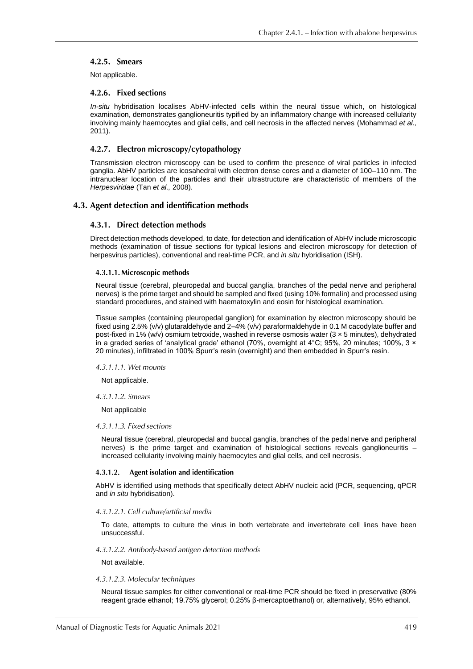# 4.2.5. Smears

Not applicable.

### 4.2.6. Fixed sections

*In-situ* hybridisation localises AbHV-infected cells within the neural tissue which, on histological examination, demonstrates ganglioneuritis typified by an inflammatory change with increased cellularity involving mainly haemocytes and glial cells, and cell necrosis in the affected nerves (Mohammad *et al.,* 2011).

# 4.2.7. Electron microscopy/cytopathology

Transmission electron microscopy can be used to confirm the presence of viral particles in infected ganglia. AbHV particles are icosahedral with electron dense cores and a diameter of 100–110 nm. The intranuclear location of the particles and their ultrastructure are characteristic of members of the *Herpesviridae* (Tan *et al.,* 2008).

# 4.3. Agent detection and identification methods

### 4.3.1. Direct detection methods

Direct detection methods developed, to date, for detection and identification of AbHV include microscopic methods (examination of tissue sections for typical lesions and electron microscopy for detection of herpesvirus particles), conventional and real-time PCR, and *in situ* hybridisation (ISH).

#### 4.3.1.1. Microscopic methods

Neural tissue (cerebral, pleuropedal and buccal ganglia, branches of the pedal nerve and peripheral nerves) is the prime target and should be sampled and fixed (using 10% formalin) and processed using standard procedures, and stained with haematoxylin and eosin for histological examination.

Tissue samples (containing pleuropedal ganglion) for examination by electron microscopy should be fixed using 2.5% (v/v) glutaraldehyde and 2–4% (v/v) paraformaldehyde in 0.1 M cacodylate buffer and post-fixed in 1% (w/v) osmium tetroxide, washed in reverse osmosis water (3 × 5 minutes), dehydrated in a graded series of 'analytical grade' ethanol (70%, overnight at  $4^{\circ}$ C; 95%, 20 minutes; 100%, 3  $\times$ 20 minutes), infiltrated in 100% Spurr's resin (overnight) and then embedded in Spurr's resin.

#### 4.3.1.1.1. Wet mounts

Not applicable.

#### 4.3.1.1.2. Smears

Not applicable

#### 4.3.1.1.3. Fixed sections

Neural tissue (cerebral, pleuropedal and buccal ganglia, branches of the pedal nerve and peripheral nerves) is the prime target and examination of histological sections reveals ganglioneuritis – increased cellularity involving mainly haemocytes and glial cells, and cell necrosis.

#### $4.3.1.2.$ Agent isolation and identification

AbHV is identified using methods that specifically detect AbHV nucleic acid (PCR, sequencing, qPCR and *in situ* hybridisation).

### 4.3.1.2.1. Cell culture/artificial media

To date, attempts to culture the virus in both vertebrate and invertebrate cell lines have been unsuccessful.

#### 4.3.1.2.2. Antibody-based antigen detection methods

Not available.

#### 4.3.1.2.3. Molecular techniques

Neural tissue samples for either conventional or real-time PCR should be fixed in preservative (80% reagent grade ethanol; 19.75% glycerol; 0.25% β-mercaptoethanol) or, alternatively, 95% ethanol.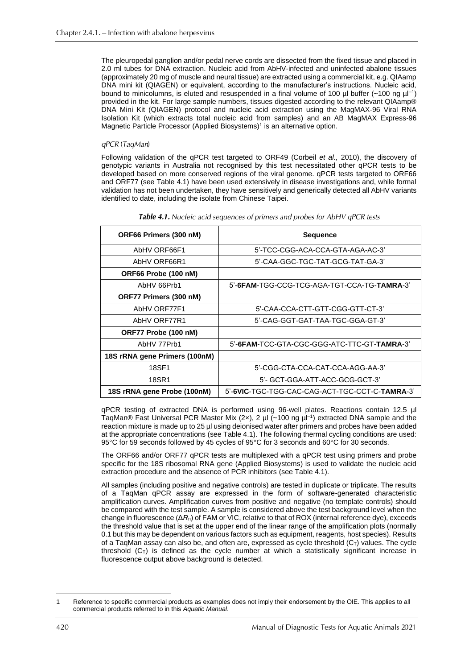The pleuropedal ganglion and/or pedal nerve cords are dissected from the fixed tissue and placed in 2.0 ml tubes for DNA extraction. Nucleic acid from AbHV-infected and uninfected abalone tissues (approximately 20 mg of muscle and neural tissue) are extracted using a commercial kit, e.g. QIAamp DNA mini kit (QIAGEN) or equivalent, according to the manufacturer's instructions. Nucleic acid, bound to minicolumns, is eluted and resuspended in a final volume of 100  $\mu$ l buffer (~100 ng  $\mu$ l<sup>-1</sup>) provided in the kit. For large sample numbers, tissues digested according to the relevant QIAamp® DNA Mini Kit (QIAGEN) protocol and nucleic acid extraction using the MagMAX-96 Viral RNA Isolation Kit (which extracts total nucleic acid from samples) and an AB MagMAX Express-96 Magnetic Particle Processor (Applied Biosystems)<sup>1</sup> is an alternative option.

# qPCR (TaqMan)

Following validation of the qPCR test targeted to ORF49 (Corbeil *et al.,* 2010), the discovery of genotypic variants in Australia not recognised by this test necessitated other qPCR tests to be developed based on more conserved regions of the viral genome. qPCR tests targeted to ORF66 and ORF77 (see Table 4.1) have been used extensively in disease investigations and, while formal validation has not been undertaken, they have sensitively and generically detected all AbHV variants identified to date, including the isolate from Chinese Taipei.

| ORF66 Primers (300 nM)        | <b>Sequence</b>                                |  |  |
|-------------------------------|------------------------------------------------|--|--|
| AbHV ORF66F1                  | 5'-TCC-CGG-ACA-CCA-GTA-AGA-AC-3'               |  |  |
| AbHV ORF66R1                  | 5'-CAA-GGC-TGC-TAT-GCG-TAT-GA-3'               |  |  |
| ORF66 Probe (100 nM)          |                                                |  |  |
| AbHV 66Prb1                   | 5'-6FAM-TGG-CCG-TCG-AGA-TGT-CCA-TG-TAMRA-3'    |  |  |
| ORF77 Primers (300 nM)        |                                                |  |  |
| AbHV ORF77F1                  | 5'-CAA-CCA-CTT-GTT-CGG-GTT-CT-3'               |  |  |
| AbHV ORF77R1                  | 5'-CAG-GGT-GAT-TAA-TGC-GGA-GT-3'               |  |  |
| ORF77 Probe (100 nM)          |                                                |  |  |
| AbHV 77Prb1                   | 5'-6FAM-TCC-GTA-CGC-GGG-ATC-TTC-GT-TAMRA-3'    |  |  |
| 18S rRNA gene Primers (100nM) |                                                |  |  |
| <b>18SF1</b>                  | 5'-CGG-CTA-CCA-CAT-CCA-AGG-AA-3'               |  |  |
| 18SR1                         | 5'- GCT-GGA-ATT-ACC-GCG-GCT-3'                 |  |  |
| 18S rRNA gene Probe (100nM)   | 5'-6VIC-TGC-TGG-CAC-CAG-ACT-TGC-CCT-C-TAMRA-3' |  |  |

| <b>Table 4.1.</b> Nucleic acid sequences of primers and probes for AbHV qPCR tests |  |  |  |
|------------------------------------------------------------------------------------|--|--|--|
|------------------------------------------------------------------------------------|--|--|--|

qPCR testing of extracted DNA is performed using 96-well plates. Reactions contain 12.5 µl TaqMan® Fast Universal PCR Master Mix (2x), 2 µl (~100 ng  $\mu$ <sup>-1</sup>) extracted DNA sample and the reaction mixture is made up to 25 µl using deionised water after primers and probes have been added at the appropriate concentrations (see Table 4.1). The following thermal cycling conditions are used: 95°C for 59 seconds followed by 45 cycles of 95°C for 3 seconds and 60°C for 30 seconds.

The ORF66 and/or ORF77 qPCR tests are multiplexed with a qPCR test using primers and probe specific for the 18S ribosomal RNA gene (Applied Biosystems) is used to validate the nucleic acid extraction procedure and the absence of PCR inhibitors (see Table 4.1).

All samples (including positive and negative controls) are tested in duplicate or triplicate. The results of a TaqMan qPCR assay are expressed in the form of software-generated characteristic amplification curves. Amplification curves from positive and negative (no template controls) should be compared with the test sample. A sample is considered above the test background level when the change in fluorescence (Δ*R*n) of FAM or VIC, relative to that of ROX (internal reference dye), exceeds the threshold value that is set at the upper end of the linear range of the amplification plots (normally 0.1 but this may be dependent on various factors such as equipment, reagents, host species). Results of a TaqMan assay can also be, and often are, expressed as cycle threshold  $(C<sub>T</sub>)$  values. The cycle threshold  $(C<sub>T</sub>)$  is defined as the cycle number at which a statistically significant increase in fluorescence output above background is detected.

Reference to specific commercial products as examples does not imply their endorsement by the OIE. This applies to all commercial products referred to in this *Aquatic Manual*.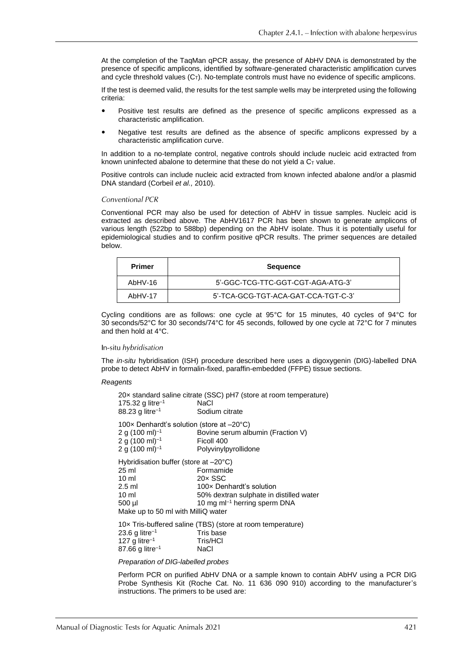At the completion of the TaqMan qPCR assay, the presence of AbHV DNA is demonstrated by the presence of specific amplicons, identified by software-generated characteristic amplification curves and cycle threshold values  $(C_T)$ . No-template controls must have no evidence of specific amplicons.

If the test is deemed valid, the results for the test sample wells may be interpreted using the following criteria:

- Positive test results are defined as the presence of specific amplicons expressed as a characteristic amplification.
- Negative test results are defined as the absence of specific amplicons expressed by a characteristic amplification curve.

In addition to a no-template control, negative controls should include nucleic acid extracted from known uninfected abalone to determine that these do not yield a  $C<sub>T</sub>$  value.

Positive controls can include nucleic acid extracted from known infected abalone and/or a plasmid DNA standard (Corbeil *et al.,* 2010).

#### Conventional PCR

Conventional PCR may also be used for detection of AbHV in tissue samples. Nucleic acid is extracted as described above. The AbHV1617 PCR has been shown to generate amplicons of various length (522bp to 588bp) depending on the AbHV isolate. Thus it is potentially useful for epidemiological studies and to confirm positive qPCR results. The primer sequences are detailed below.

| Primer    | <b>Sequence</b>                     |  |  |
|-----------|-------------------------------------|--|--|
| AbHV-16   | 5'-GGC-TCG-TTC-GGT-CGT-AGA-ATG-3'   |  |  |
| $AbHV-17$ | 5'-TCA-GCG-TGT-ACA-GAT-CCA-TGT-C-3' |  |  |

Cycling conditions are as follows: one cycle at 95°C for 15 minutes, 40 cycles of 94°C for 30 seconds/52°C for 30 seconds/74°C for 45 seconds, followed by one cycle at 72°C for 7 minutes and then hold at 4°C.

#### In-situ hybridisation

The *in-situ* hybridisation (ISH) procedure described here uses a digoxygenin (DIG)-labelled DNA probe to detect AbHV in formalin-fixed, paraffin-embedded (FFPE) tissue sections.

#### *Reagents*

| 175.32 g litre <sup>-1</sup><br>88.23 g litre <sup>-1</sup>                                                                                                | 20x standard saline citrate (SSC) pH7 (store at room temperature)<br>NaCl<br>Sodium citrate                                               |
|------------------------------------------------------------------------------------------------------------------------------------------------------------|-------------------------------------------------------------------------------------------------------------------------------------------|
| 100 $\times$ Denhardt's solution (store at $-20^{\circ}$ C)<br>2 g (100 ml) <sup>-1</sup><br>2 g $(100 \text{ ml})^{-1}$<br>2 g (100 ml) <sup>-1</sup>     | Bovine serum albumin (Fraction V)<br>Ficoll 400<br>Polyvinylpyrollidone                                                                   |
| Hybridisation buffer (store at $-20^{\circ}$ C)<br>25 ml<br>$10 \mathrm{m}$<br>$2.5$ ml<br>10 <sub>m</sub><br>500 µl<br>Make up to 50 ml with MilliQ water | Formamide<br>$20 \times$ SSC<br>100x Denhardt's solution<br>50% dextran sulphate in distilled water<br>10 mg m $I^{-1}$ herring sperm DNA |
| $23.6$ g litre <sup>-1</sup><br>127 g litre <sup>-1</sup><br>87.66 g litre <sup>-1</sup>                                                                   | 10x Tris-buffered saline (TBS) (store at room temperature)<br>Tris base<br>Tris/HCI<br>NaCl                                               |

#### *Preparation of DIG-labelled probes*

Perform PCR on purified AbHV DNA or a sample known to contain AbHV using a PCR DIG Probe Synthesis Kit (Roche Cat. No. 11 636 090 910) according to the manufacturer's instructions. The primers to be used are: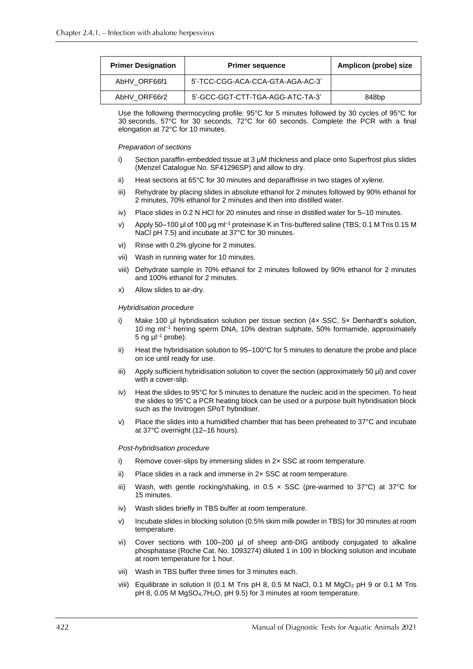| <b>Primer Designation</b> | <b>Primer sequence</b>           | Amplicon (probe) size |  |
|---------------------------|----------------------------------|-----------------------|--|
| AbHV ORF66f1              | 5'-TCC-CGG-ACA-CCA-GTA-AGA-AC-3' |                       |  |
| AbHV ORF66r2              | 5'-GCC-GGT-CTT-TGA-AGG-ATC-TA-3' | 848 <sub>bp</sub>     |  |

Use the following thermocycling profile: 95°C for 5 minutes followed by 30 cycles of 95°C for 30 seconds, 57°C for 30 seconds, 72°C for 60 seconds. Complete the PCR with a final elongation at 72°C for 10 minutes.

#### *Preparation of sections*

- i) Section paraffin-embedded tissue at 3 µM thickness and place onto Superfrost plus slides (Menzel Catalogue No. SF41296SP) and allow to dry.
- ii) Heat sections at 65°C for 30 minutes and deparaffinise in two stages of xylene.
- iii) Rehydrate by placing slides in absolute ethanol for 2 minutes followed by 90% ethanol for 2 minutes, 70% ethanol for 2 minutes and then into distilled water.
- iv) Place slides in 0.2 N HCl for 20 minutes and rinse in distilled water for 5–10 minutes.
- v) Apply 50–100 µl of 100 µg ml<sup>-1</sup> proteinase K in Tris-buffered saline (TBS; 0.1 M Tris 0.15 M NaCl pH 7.5) and incubate at 37°C for 30 minutes.
- vi) Rinse with 0.2% glycine for 2 minutes.
- vii) Wash in running water for 10 minutes.
- viii) Dehydrate sample in 70% ethanol for 2 minutes followed by 90% ethanol for 2 minutes and 100% ethanol for 2 minutes.
- x) Allow slides to air-dry.

#### *Hybridisation procedure*

- i) Make 100  $\mu$ l hybridisation solution per tissue section (4 $\times$  SSC, 5 $\times$  Denhardt's solution, 10 mg ml<sup>-1</sup> herring sperm DNA, 10% dextran sulphate, 50% formamide, approximately 5 ng  $\mu$ l<sup>-1</sup> probe).
- ii) Heat the hybridisation solution to 95–100°C for 5 minutes to denature the probe and place on ice until ready for use.
- iii) Apply sufficient hybridisation solution to cover the section (approximately 50 µl) and cover with a cover-slip.
- iv) Heat the slides to 95°C for 5 minutes to denature the nucleic acid in the specimen. To heat the slides to 95°C a PCR heating block can be used or a purpose built hybridisation block such as the Invitrogen SPoT hybridiser.
- v) Place the slides into a humidified chamber that has been preheated to  $37^{\circ}$ C and incubate at 37°C overnight (12–16 hours).

#### *Post-hybridisation procedure*

- i) Remove cover-slips by immersing slides in 2× SSC at room temperature.
- ii) Place slides in a rack and immerse in  $2 \times$  SSC at room temperature.
- iii) Wash, with gentle rocking/shaking, in 0.5  $\times$  SSC (pre-warmed to 37°C) at 37°C for 15 minutes.
- iv) Wash slides briefly in TBS buffer at room temperature.
- v) Incubate slides in blocking solution (0.5% skim milk powder in TBS) for 30 minutes at room temperature.
- vi) Cover sections with 100-200 µl of sheep anti-DIG antibody conjugated to alkaline phosphatase (Roche Cat. No. 1093274) diluted 1 in 100 in blocking solution and incubate at room temperature for 1 hour.
- vii) Wash in TBS buffer three times for 3 minutes each.
- viii) Equilibrate in solution II (0.1 M Tris pH 8, 0.5 M NaCl, 0.1 M MgCl<sup>2</sup> pH 9 or 0.1 M Tris pH 8, 0.05 M MgSO<sub>4</sub>,7H<sub>2</sub>O, pH 9.5) for 3 minutes at room temperature.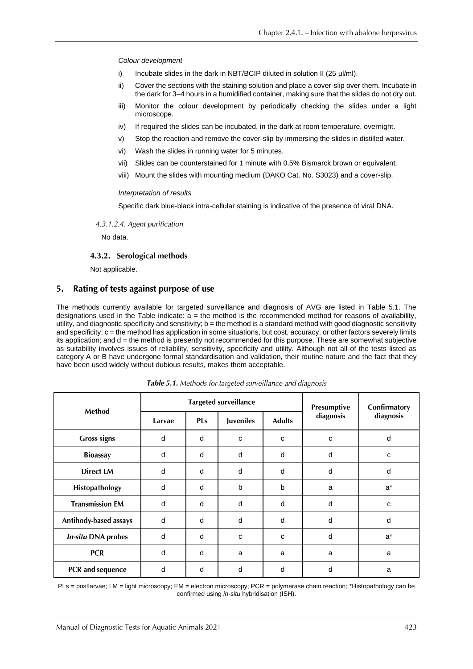#### *Colour development*

- i) Incubate slides in the dark in NBT/BCIP diluted in solution II (25 µl/ml).
- ii) Cover the sections with the staining solution and place a cover-slip over them. Incubate in the dark for 3–4 hours in a humidified container, making sure that the slides do not dry out.
- iii) Monitor the colour development by periodically checking the slides under a light microscope.
- iv) If required the slides can be incubated, in the dark at room temperature, overnight.
- v) Stop the reaction and remove the cover-slip by immersing the slides in distilled water.
- vi) Wash the slides in running water for 5 minutes.
- vii) Slides can be counterstained for 1 minute with 0.5% Bismarck brown or equivalent.
- viii) Mount the slides with mounting medium (DAKO Cat. No. S3023) and a cover-slip.

#### *Interpretation of results*

Specific dark blue-black intra-cellular staining is indicative of the presence of viral DNA.

#### 4.3.1.2.4. Agent purification

No data.

# 4.3.2. Serological methods

Not applicable.

#### 5. Rating of tests against purpose of use

The methods currently available for targeted surveillance and diagnosis of AVG are listed in Table 5.1. The designations used in the Table indicate: a = the method is the recommended method for reasons of availability, utility, and diagnostic specificity and sensitivity; b = the method is a standard method with good diagnostic sensitivity and specificity; c = the method has application in some situations, but cost, accuracy, or other factors severely limits its application; and d = the method is presently not recommended for this purpose. These are somewhat subjective as suitability involves issues of reliability, sensitivity, specificity and utility. Although not all of the tests listed as category A or B have undergone formal standardisation and validation, their routine nature and the fact that they have been used widely without dubious results, makes them acceptable.

| Method                    | <b>Targeted surveillance</b> |            |                  |               | Presumptive | Confirmatory |
|---------------------------|------------------------------|------------|------------------|---------------|-------------|--------------|
|                           | Larvae                       | <b>PLs</b> | <b>Juveniles</b> | <b>Adults</b> | diagnosis   | diagnosis    |
| <b>Gross signs</b>        | d                            | d          | C                | C             | C           | d            |
| <b>Bioassay</b>           | d                            | d          | d                | d             | d           | c            |
| <b>Direct LM</b>          | d                            | d          | d                | d             | d           | d            |
| Histopathology            | d                            | d          | b                | $\mathbf b$   | a           | $a^*$        |
| <b>Transmission EM</b>    | d                            | d          | d                | d             | d           | c            |
| Antibody-based assays     | d                            | d          | d                | d             | d           | d            |
| <b>In-situ DNA probes</b> | d                            | d          | C                | C             | d           | $a^*$        |
| <b>PCR</b>                | d                            | d          | a                | a             | a           | a            |
| PCR and sequence          | d                            | d          | d                | d             | d           | a            |

Table 5.1. Methods for targeted surveillance and diagnosis

PLs = postlarvae; LM = light microscopy; EM = electron microscopy; PCR = polymerase chain reaction; \*Histopathology can be confirmed using *in-situ* hybridisation (ISH).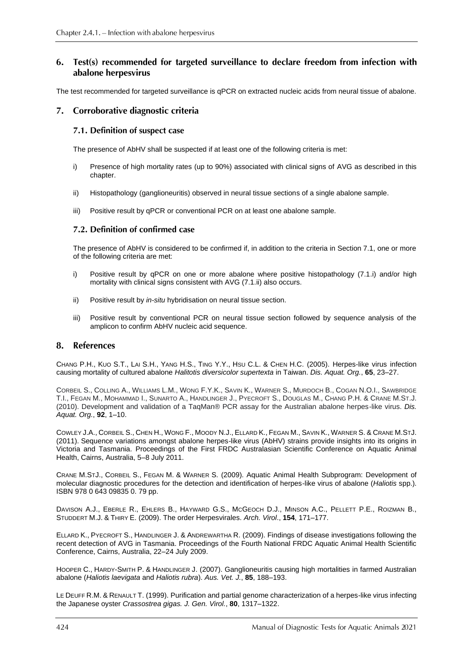#### Test(s) recommended for targeted surveillance to declare freedom from infection with 6. abalone herpesvirus

The test recommended for targeted surveillance is qPCR on extracted nucleic acids from neural tissue of abalone.

# 7. Corroborative diagnostic criteria

# 7.1. Definition of suspect case

The presence of AbHV shall be suspected if at least one of the following criteria is met:

- i) Presence of high mortality rates (up to 90%) associated with clinical signs of AVG as described in this chapter.
- ii) Histopathology (ganglioneuritis) observed in neural tissue sections of a single abalone sample.
- iii) Positive result by qPCR or conventional PCR on at least one abalone sample.

# 7.2. Definition of confirmed case

The presence of AbHV is considered to be confirmed if, in addition to the criteria in Section 7.1, one or more of the following criteria are met:

- i) Positive result by qPCR on one or more abalone where positive histopathology (7.1.i) and/or high mortality with clinical signs consistent with AVG (7.1.ii) also occurs.
- ii) Positive result by *in-situ* hybridisation on neural tissue section.
- iii) Positive result by conventional PCR on neural tissue section followed by sequence analysis of the amplicon to confirm AbHV nucleic acid sequence.

#### 8. **References**

CHANG P.H., KUO S.T., LAI S.H., YANG H.S., TING Y.Y., HSU C.L. & CHEN H.C. (2005). Herpes-like virus infection causing mortality of cultured abalone *Halitotis diversicolor supertexta* in Taiwan. *Dis. Aquat. Org.*, **65**, 23–27.

CORBEIL S., COLLING A., WILLIAMS L.M., WONG F.Y.K., SAVIN K., WARNER S., MURDOCH B., COGAN N.O.I., SAWBRIDGE T.I., FEGAN M., MOHAMMAD I., SUNARTO A., HANDLINGER J., PYECROFT S., DOUGLAS M., CHANG P.H. & CRANE M.ST.J. (2010). Development and validation of a TaqMan® PCR assay for the Australian abalone herpes-like virus. *Dis. Aquat. Org.*, **92**, 1–10.

COWLEY J.A., CORBEIL S., CHEN H., WONG F., MOODY N.J., ELLARD K., FEGAN M., SAVIN K., WARNER S. & CRANE M.STJ. (2011). Sequence variations amongst abalone herpes-like virus (AbHV) strains provide insights into its origins in Victoria and Tasmania. Proceedings of the First FRDC Australasian Scientific Conference on Aquatic Animal Health, Cairns, Australia, 5–8 July 2011.

CRANE M.STJ., CORBEIL S., FEGAN M. & WARNER S. (2009). Aquatic Animal Health Subprogram: Development of molecular diagnostic procedures for the detection and identification of herpes-like virus of abalone (*Haliotis* spp.). ISBN 978 0 643 09835 0. 79 pp.

DAVISON A.J., EBERLE R., EHLERS B., HAYWARD G.S., MCGEOCH D.J., MINSON A.C., PELLETT P.E., ROIZMAN B., STUDDERT M.J. & THIRY E. (2009). The order Herpesvirales. *Arch. Virol*., **154**, 171–177.

ELLARD K., PYECROFT S., HANDLINGER J. & ANDREWARTHA R. (2009). Findings of disease investigations following the recent detection of AVG in Tasmania. Proceedings of the Fourth National FRDC Aquatic Animal Health Scientific Conference, Cairns, Australia, 22–24 July 2009.

HOOPER C., HARDY-SMITH P. & HANDLINGER J. (2007). Ganglioneuritis causing high mortalities in farmed Australian abalone (*Haliotis laevigata* and *Haliotis rubra*). *Aus. Vet. J.*, **85**, 188–193.

LE DEUFF R.M. & RENAULT T. (1999). Purification and partial genome characterization of a herpes-like virus infecting the Japanese oyster *Crassostrea gigas. J. Gen. Virol.*, **80**, 1317–1322.